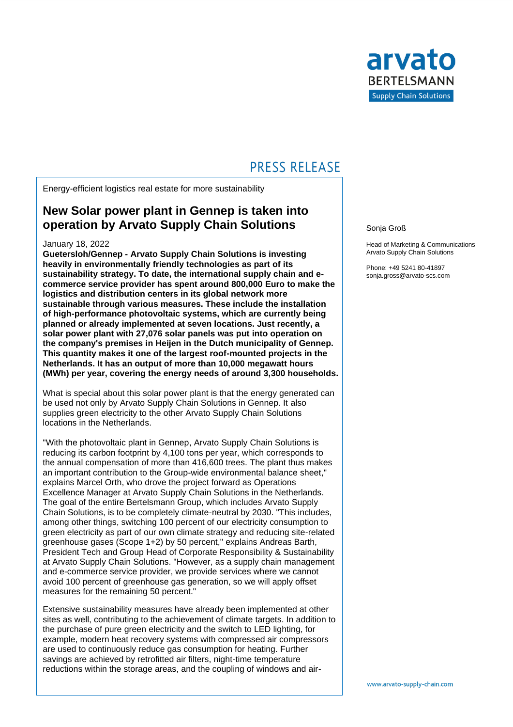

## **PRESS RELEASE**

Energy-efficient logistics real estate for more sustainability

### **New Solar power plant in Gennep is taken into operation by Arvato Supply Chain Solutions**

#### January 18, 2022

**Guetersloh/Gennep - Arvato Supply Chain Solutions is investing heavily in environmentally friendly technologies as part of its sustainability strategy. To date, the international supply chain and ecommerce service provider has spent around 800,000 Euro to make the logistics and distribution centers in its global network more sustainable through various measures. These include the installation of high-performance photovoltaic systems, which are currently being planned or already implemented at seven locations. Just recently, a solar power plant with 27,076 solar panels was put into operation on the company's premises in Heijen in the Dutch municipality of Gennep. This quantity makes it one of the largest roof-mounted projects in the Netherlands. It has an output of more than 10,000 megawatt hours (MWh) per year, covering the energy needs of around 3,300 households.** 

What is special about this solar power plant is that the energy generated can be used not only by Arvato Supply Chain Solutions in Gennep. It also supplies green electricity to the other Arvato Supply Chain Solutions locations in the Netherlands.

"With the photovoltaic plant in Gennep, Arvato Supply Chain Solutions is reducing its carbon footprint by 4,100 tons per year, which corresponds to the annual compensation of more than 416,600 trees. The plant thus makes an important contribution to the Group-wide environmental balance sheet," explains Marcel Orth, who drove the project forward as Operations Excellence Manager at Arvato Supply Chain Solutions in the Netherlands. The goal of the entire Bertelsmann Group, which includes Arvato Supply Chain Solutions, is to be completely climate-neutral by 2030. "This includes, among other things, switching 100 percent of our electricity consumption to green electricity as part of our own climate strategy and reducing site-related greenhouse gases (Scope 1+2) by 50 percent," explains Andreas Barth, President Tech and Group Head of Corporate Responsibility & Sustainability at Arvato Supply Chain Solutions. "However, as a supply chain management and e-commerce service provider, we provide services where we cannot avoid 100 percent of greenhouse gas generation, so we will apply offset measures for the remaining 50 percent."

Extensive sustainability measures have already been implemented at other sites as well, contributing to the achievement of climate targets. In addition to the purchase of pure green electricity and the switch to LED lighting, for example, modern heat recovery systems with compressed air compressors are used to continuously reduce gas consumption for heating. Further savings are achieved by retrofitted air filters, night-time temperature reductions within the storage areas, and the coupling of windows and air-

#### Sonja Groß

Head of Marketing & Communications Arvato Supply Chain Solutions

Phone: +49 5241 80-41897 sonja.gross@arvato-scs.com